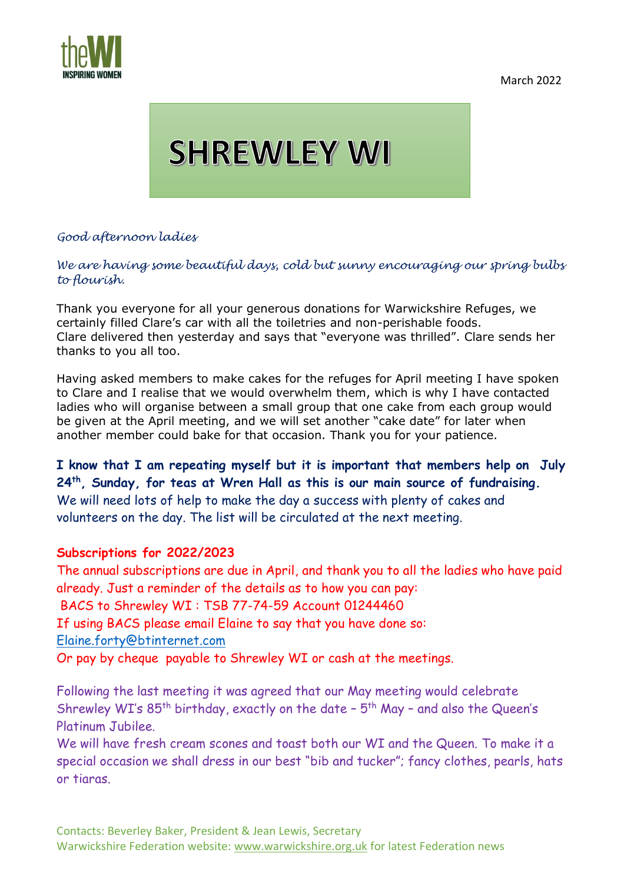March 2022



## **SHREWLEY WI**

## *Good afternoon ladies*

## *We are having some beautiful days, cold but sunny encouraging our spring bulbs to flourish.*

Thank you everyone for all your generous donations for Warwickshire Refuges, we certainly filled Clare's car with all the toiletries and non-perishable foods. Clare delivered then yesterday and says that "everyone was thrilled". Clare sends her thanks to you all too.

Having asked members to make cakes for the refuges for April meeting I have spoken to Clare and I realise that we would overwhelm them, which is why I have contacted ladies who will organise between a small group that one cake from each group would be given at the April meeting, and we will set another "cake date" for later when another member could bake for that occasion. Thank you for your patience.

**I know that I am repeating myself but it is important that members help on July 24th, Sunday, for teas at Wren Hall as this is our main source of fundraising.** We will need lots of help to make the day a success with plenty of cakes and volunteers on the day. The list will be circulated at the next meeting.

## **Subscriptions for 2022/2023**

The annual subscriptions are due in April, and thank you to all the ladies who have paid already. Just a reminder of the details as to how you can pay: BACS to Shrewley WI : TSB 77-74-59 Account 01244460 If using BACS please email Elaine to say that you have done so: [Elaine.forty@btinternet.com](mailto:Elaine.forty@btinternet.com)

Or pay by cheque payable to Shrewley WI or cash at the meetings.

Following the last meeting it was agreed that our May meeting would celebrate Shrewley WI's  $85^{th}$  birthday, exactly on the date -  $5^{th}$  May - and also the Queen's Platinum Jubilee.

We will have fresh cream scones and toast both our WI and the Queen. To make it a special occasion we shall dress in our best "bib and tucker"; fancy clothes, pearls, hats or tiaras.